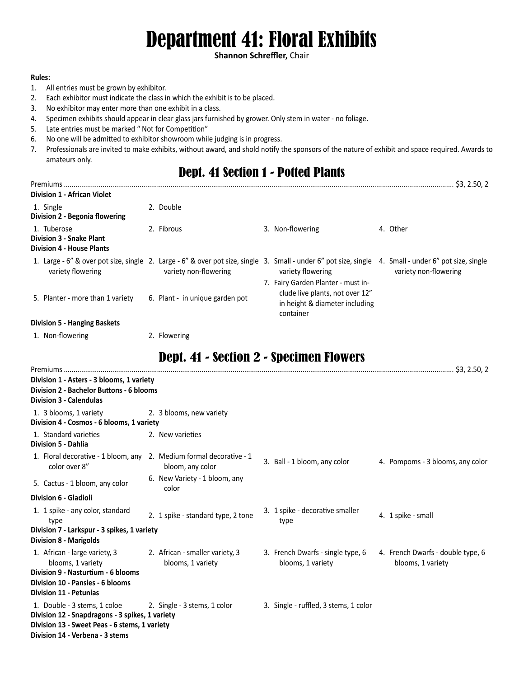# Department 41: Floral Exhibits

**Shannon Schreffler,** Chair

#### **Rules:**

- 1. All entries must be grown by exhibitor.
- 2. Each exhibitor must indicate the class in which the exhibit is to be placed.
- 3. No exhibitor may enter more than one exhibit in a class.
- 4. Specimen exhibits should appear in clear glass jars furnished by grower. Only stem in water no foliage.
- 5. Late entries must be marked " Not for Competition"
- 6. No one will be admitted to exhibitor showroom while judging is in progress.
- 7. Professionals are invited to make exhibits, without award, and shold notify the sponsors of the nature of exhibit and space required. Awards to amateurs only.

### Dept. 41 Section 1 - Potted Plants

| \$3, 2.50, 2<br>Premiums<br><b>Division 1 - African Violet</b>                                                                        |  |                                 |  |                                                                                                                      |  |                                                               |  |
|---------------------------------------------------------------------------------------------------------------------------------------|--|---------------------------------|--|----------------------------------------------------------------------------------------------------------------------|--|---------------------------------------------------------------|--|
| 1. Single<br>Division 2 - Begonia flowering                                                                                           |  | 2. Double                       |  |                                                                                                                      |  |                                                               |  |
| 1. Tuberose<br><b>Division 3 - Snake Plant</b><br><b>Division 4 - House Plants</b>                                                    |  | 2. Fibrous                      |  | 3. Non-flowering                                                                                                     |  | 4. Other                                                      |  |
| 1. Large - 6" & over pot size, single 2. Large - 6" & over pot size, single 3. Small - under 6" pot size, single<br>variety flowering |  | variety non-flowering           |  | variety flowering                                                                                                    |  | 4. Small - under 6" pot size, single<br>variety non-flowering |  |
| 5. Planter - more than 1 variety                                                                                                      |  | 6. Plant - in unique garden pot |  | 7. Fairy Garden Planter - must in-<br>clude live plants, not over 12"<br>in height & diameter including<br>container |  |                                                               |  |
| <b>Division 5 - Hanging Baskets</b>                                                                                                   |  |                                 |  |                                                                                                                      |  |                                                               |  |
| 1. Non-flowering                                                                                                                      |  | 2. Flowering                    |  |                                                                                                                      |  |                                                               |  |

# Dept. 41 - Section 2 - Specimen Flowers

| Division 1 - Asters - 3 blooms, 1 variety                                                                    |                                                      |                                                        |                                                        |
|--------------------------------------------------------------------------------------------------------------|------------------------------------------------------|--------------------------------------------------------|--------------------------------------------------------|
| Division 2 - Bachelor Buttons - 6 blooms                                                                     |                                                      |                                                        |                                                        |
| <b>Division 3 - Calendulas</b>                                                                               |                                                      |                                                        |                                                        |
| 1. 3 blooms, 1 variety                                                                                       | 2. 3 blooms, new variety                             |                                                        |                                                        |
| Division 4 - Cosmos - 6 blooms, 1 variety                                                                    |                                                      |                                                        |                                                        |
| 1. Standard varieties                                                                                        | 2. New varieties                                     |                                                        |                                                        |
| <b>Division 5 - Dahlia</b>                                                                                   |                                                      |                                                        |                                                        |
| 1. Floral decorative - 1 bloom, any 2. Medium formal decorative - 1<br>color over 8"                         | bloom, any color                                     | 3. Ball - 1 bloom, any color                           | 4. Pompoms - 3 blooms, any color                       |
| 5. Cactus - 1 bloom, any color                                                                               | 6. New Variety - 1 bloom, any<br>color               |                                                        |                                                        |
| Division 6 - Gladioli                                                                                        |                                                      |                                                        |                                                        |
| 1. 1 spike - any color, standard<br>type                                                                     | 2. 1 spike - standard type, 2 tone                   | 3. 1 spike - decorative smaller<br>type                | 4. 1 spike - small                                     |
| Division 7 - Larkspur - 3 spikes, 1 variety                                                                  |                                                      |                                                        |                                                        |
| <b>Division 8 - Marigolds</b>                                                                                |                                                      |                                                        |                                                        |
| 1. African - large variety, 3<br>blooms, 1 variety                                                           | 2. African - smaller variety, 3<br>blooms, 1 variety | 3. French Dwarfs - single type, 6<br>blooms, 1 variety | 4. French Dwarfs - double type, 6<br>blooms, 1 variety |
| Division 9 - Nasturtium - 6 blooms                                                                           |                                                      |                                                        |                                                        |
| Division 10 - Pansies - 6 blooms                                                                             |                                                      |                                                        |                                                        |
| <b>Division 11 - Petunias</b>                                                                                |                                                      |                                                        |                                                        |
| 1. Double - 3 stems, 1 coloe 2. Single - 3 stems, 1 color<br>Division 12 - Snapdragons - 3 spikes, 1 variety |                                                      | 3. Single - ruffled, 3 stems, 1 color                  |                                                        |
| Division 13 - Sweet Peas - 6 stems, 1 variety<br>Division 14 - Verbena - 3 stems                             |                                                      |                                                        |                                                        |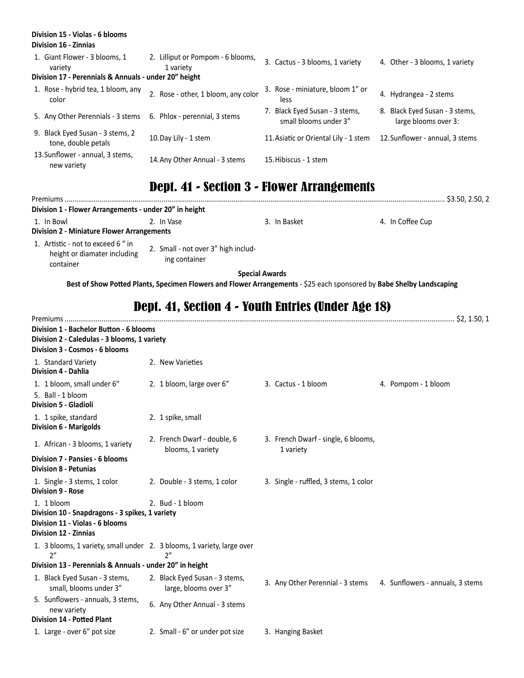| Division 15 - Violas - 6 blooms<br>Division 16 - Zinnias                                          |                                                |      |                                                         |                                                        |
|---------------------------------------------------------------------------------------------------|------------------------------------------------|------|---------------------------------------------------------|--------------------------------------------------------|
| 1. Giant Flower - 3 blooms, 1<br>variety<br>Division 17 - Perennials & Annuals - under 20" height | 2. Lilliput or Pompom - 6 blooms,<br>1 variety |      | 3. Cactus - 3 blooms, 1 variety                         | 4. Other - 3 blooms, 1 variety                         |
| 1. Rose - hybrid tea, 1 bloom, any<br>color                                                       | 2. Rose - other, 1 bloom, any color            | less | 3. Rose - miniature, bloom 1" or                        | 4. Hydrangea - 2 stems                                 |
| 5. Any Other Perennials - 3 stems                                                                 | 6. Phlox - perennial, 3 stems                  |      | 7. Black Eyed Susan - 3 stems,<br>small blooms under 3" | 8. Black Eyed Susan - 3 stems,<br>large blooms over 3: |
| 9. Black Eyed Susan - 3 stems, 2<br>tone, double petals                                           | 10. Day Lily - 1 stem                          |      | 11. Asiatic or Oriental Lily - 1 stem                   | 12. Sunflower - annual, 3 stems                        |
| 13. Sunflower - annual, 3 stems,<br>new variety                                                   | 14. Any Other Annual - 3 stems                 |      | 15. Hibiscus - 1 stem                                   |                                                        |

# Dept. 41 - Section 3 - Flower Arrangements

| Division 1 - Flower Arrangements - under 20" in height                          |                                                      |              |                  |  |  |  |  |
|---------------------------------------------------------------------------------|------------------------------------------------------|--------------|------------------|--|--|--|--|
| 1. In Bowl<br><b>Division 2 - Miniature Flower Arrangements</b>                 | 2. In Vase                                           | 3. In Basket | 4. In Coffee Cup |  |  |  |  |
| 1. Artistic - not to exceed 6 " in<br>height or diamater including<br>container | 2. Small - not over 3" high includ-<br>ing container |              |                  |  |  |  |  |

**Special Awards**

**Best of Show Potted Plants, Specimen Flowers and Flower Arrangements** - \$25 each sponsored by **Babe Shelby Landscaping**

#### Dept. 41, Section 4 - Youth Entries (Under Age 18)

| Division 1 - Bachelor Button - 6 blooms                                                  |                                                         |                                                                   |                     |
|------------------------------------------------------------------------------------------|---------------------------------------------------------|-------------------------------------------------------------------|---------------------|
| Division 2 - Caledulas - 3 blooms, 1 variety                                             |                                                         |                                                                   |                     |
| Division 3 - Cosmos - 6 blooms                                                           |                                                         |                                                                   |                     |
| 1. Standard Variety<br><b>Division 4 - Dahlia</b>                                        | 2. New Varieties                                        |                                                                   |                     |
| 1. 1 bloom, small under 6"<br>5. Ball - 1 bloom<br><b>Division 5 - Gladioli</b>          | 2. 1 bloom, large over 6"                               | 3. Cactus - 1 bloom                                               | 4. Pompom - 1 bloom |
| 1. 1 spike, standard<br><b>Division 6 - Marigolds</b>                                    | 2. 1 spike, small                                       |                                                                   |                     |
| 1. African - 3 blooms, 1 variety                                                         | 2. French Dwarf - double, 6<br>blooms, 1 variety        | 3. French Dwarf - single, 6 blooms,<br>1 variety                  |                     |
| Division 7 - Pansies - 6 blooms<br><b>Division 8 - Petunias</b>                          |                                                         |                                                                   |                     |
| 1. Single - 3 stems, 1 color<br><b>Division 9 - Rose</b>                                 | 2. Double - 3 stems, 1 color                            | 3. Single - ruffled, 3 stems, 1 color                             |                     |
| 1. 1 bloom                                                                               | 2. Bud - 1 bloom                                        |                                                                   |                     |
| Division 10 - Snapdragons - 3 spikes, 1 variety                                          |                                                         |                                                                   |                     |
| Division 11 - Violas - 6 blooms<br><b>Division 12 - Zinnias</b>                          |                                                         |                                                                   |                     |
| 1. 3 blooms, 1 variety, small under 2. 3 blooms, 1 variety, large over<br>2 <sup>n</sup> | 2"                                                      |                                                                   |                     |
| Division 13 - Perennials & Annuals - under 20" in height                                 |                                                         |                                                                   |                     |
| 1. Black Eyed Susan - 3 stems,<br>small, blooms under 3"                                 | 2. Black Eyed Susan - 3 stems,<br>large, blooms over 3" | 3. Any Other Perennial - 3 stems 4. Sunflowers - annuals, 3 stems |                     |
| 5. Sunflowers - annuals, 3 stems,<br>new variety                                         | 6. Any Other Annual - 3 stems                           |                                                                   |                     |
| <b>Division 14 - Potted Plant</b>                                                        |                                                         |                                                                   |                     |
| 1. Large - over 6" pot size                                                              | 2. Small - 6" or under pot size                         | 3. Hanging Basket                                                 |                     |